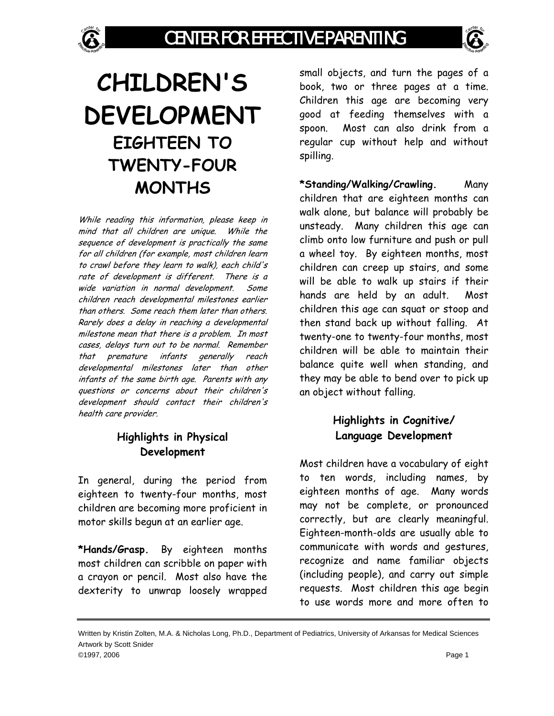

# **CHILDREN'S DEVELOPMENT EIGHTEEN TO TWENTY-FOUR MONTHS**

While reading this information, please keep in mind that all children are unique. While the sequence of development is practically the same for all children (for example, most children learn to crawl before they learn to walk), each child's rate of development is different. There is a wide variation in normal development. Some children reach developmental milestones earlier than others. Some reach them later than others. Rarely does a delay in reaching a developmental milestone mean that there is a problem. In most cases, delays turn out to be normal. Remember that premature infants generally reach developmental milestones later than other infants of the same birth age. Parents with any questions or concerns about their children's development should contact their children's health care provider.

## **Highlights in Physical Development**

In general, during the period from eighteen to twenty-four months, most children are becoming more proficient in motor skills begun at an earlier age.

**\*Hands/Grasp.** By eighteen months most children can scribble on paper with a crayon or pencil. Most also have the dexterity to unwrap loosely wrapped

small objects, and turn the pages of a book, two or three pages at a time. Children this age are becoming very good at feeding themselves with a spoon. Most can also drink from a regular cup without help and without spilling.

**\*Standing/Walking/Crawling.** Many children that are eighteen months can walk alone, but balance will probably be unsteady. Many children this age can climb onto low furniture and push or pull a wheel toy. By eighteen months, most children can creep up stairs, and some will be able to walk up stairs if their hands are held by an adult. Most children this age can squat or stoop and then stand back up without falling. At twenty-one to twenty-four months, most children will be able to maintain their balance quite well when standing, and they may be able to bend over to pick up an object without falling.

## **Highlights in Cognitive/ Language Development**

Most children have a vocabulary of eight to ten words, including names, by eighteen months of age. Many words may not be complete, or pronounced correctly, but are clearly meaningful. Eighteen-month-olds are usually able to communicate with words and gestures, recognize and name familiar objects (including people), and carry out simple requests. Most children this age begin to use words more and more often to

Written by Kristin Zolten, M.A. & Nicholas Long, Ph.D., Department of Pediatrics, University of Arkansas for Medical Sciences Artwork by Scott Snider ©1997, 2006 Page 1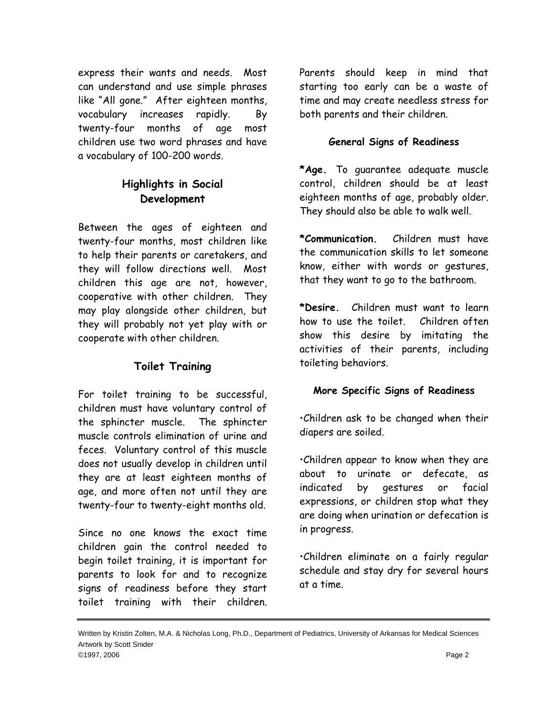express their wants and needs. Most can understand and use simple phrases like "All gone." After eighteen months, vocabulary increases rapidly. By twenty-four months of age most children use two word phrases and have a vocabulary of 100-200 words.

### **Highlights in Social Development**

Between the ages of eighteen and twenty-four months, most children like to help their parents or caretakers, and they will follow directions well. Most children this age are not, however, cooperative with other children. They may play alongside other children, but they will probably not yet play with or cooperate with other children.

#### **Toilet Training**

For toilet training to be successful, children must have voluntary control of the sphincter muscle. The sphincter muscle controls elimination of urine and feces. Voluntary control of this muscle does not usually develop in children until they are at least eighteen months of age, and more often not until they are twenty-four to twenty-eight months old.

Since no one knows the exact time children gain the control needed to begin toilet training, it is important for parents to look for and to recognize signs of readiness before they start toilet training with their children.

Parents should keep in mind that starting too early can be a waste of time and may create needless stress for both parents and their children.

#### **General Signs of Readiness**

**\*Age.** To guarantee adequate muscle control, children should be at least eighteen months of age, probably older. They should also be able to walk well.

**\*Communication.** Children must have the communication skills to let someone know, either with words or gestures, that they want to go to the bathroom.

**\*Desire.** Children must want to learn how to use the toilet. Children often show this desire by imitating the activities of their parents, including toileting behaviors.

#### **More Specific Signs of Readiness**

•Children ask to be changed when their diapers are soiled.

•Children appear to know when they are about to urinate or defecate, as indicated by gestures or facial expressions, or children stop what they are doing when urination or defecation is in progress.

•Children eliminate on a fairly regular schedule and stay dry for several hours at a time.

Written by Kristin Zolten, M.A. & Nicholas Long, Ph.D., Department of Pediatrics, University of Arkansas for Medical Sciences Artwork by Scott Snider ©1997, 2006 Page 2